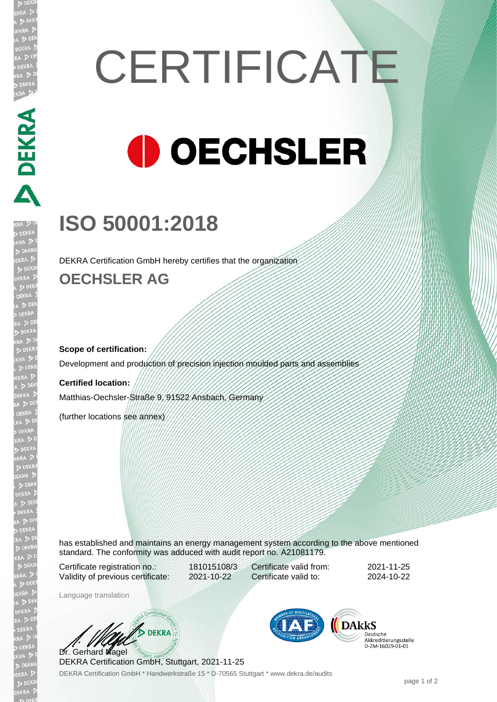# **CERTIFICATE OECHSLER**

# **ISO 50001:2018**

DEKRA Certification GmbH hereby certifies that the organization

### **OECHSLER AG**

#### **Scope of certification:**

Development and production of precision injection moulded parts and assemblies

#### **Certified location:**

Matthias-Oechsler-Straße 9, 91522 Ansbach, Germany

(further locations see annex)

has established and maintains an energy management system according to the above mentioned standard. The conformity was adduced with audit report no. A21081179.

Certificate registration no.: 181015108/3 Validity of previous certificate: 2021-10-22

Certificate valid from: 2021-11-25 Certificate valid to: 2024-10-22

Language translation

**BEKRA** Dr. Gerhard Nagel

**DARKS** Deutsche Akkreditierungsstelle<br>D-ZM-16029-01-01

DEKRA Certification GmbH \* Handwerkstraße 15 \* D-70565 Stuttgart \* www.dekra.de/audits DEKRA Certification GmbH, Stuttgart, 2021-11-25